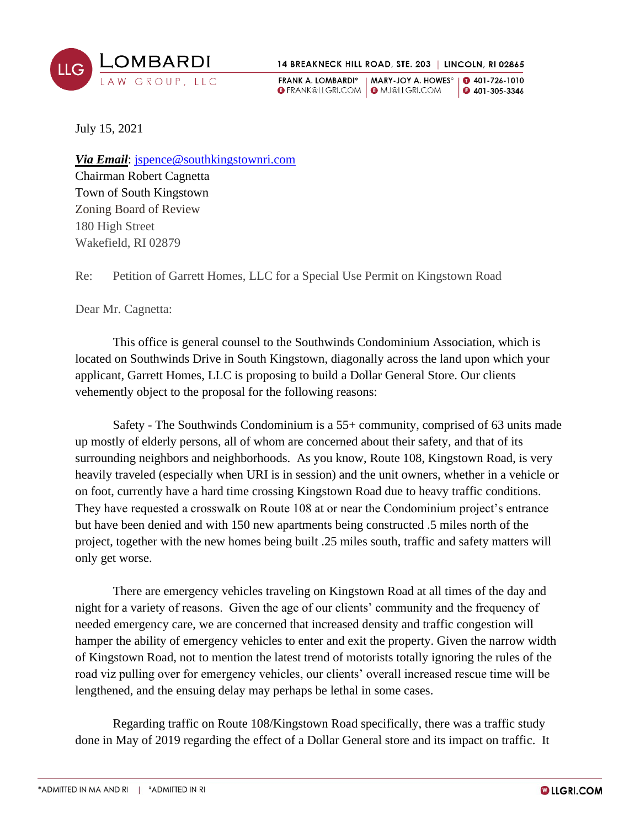

FRANK A. LOMBARDI\* | MARY-JOY A. HOWES° | 0 401-726-1010 **G** FRANK@LLGRI.COM | **G** MJ@LLGRI.COM **0** 401-305-3346

July 15, 2021

*Via Email*: [jspence@southkingstownri.com](mailto:jspence@southkingstownri.com) Chairman Robert Cagnetta Town of South Kingstown Zoning Board of Review 180 High Street Wakefield, RI 02879

Re: Petition of Garrett Homes, LLC for a Special Use Permit on Kingstown Road

Dear Mr. Cagnetta:

This office is general counsel to the Southwinds Condominium Association, which is located on Southwinds Drive in South Kingstown, diagonally across the land upon which your applicant, Garrett Homes, LLC is proposing to build a Dollar General Store. Our clients vehemently object to the proposal for the following reasons:

Safety - The Southwinds Condominium is a 55+ community, comprised of 63 units made up mostly of elderly persons, all of whom are concerned about their safety, and that of its surrounding neighbors and neighborhoods. As you know, Route 108, Kingstown Road, is very heavily traveled (especially when URI is in session) and the unit owners, whether in a vehicle or on foot, currently have a hard time crossing Kingstown Road due to heavy traffic conditions. They have requested a crosswalk on Route 108 at or near the Condominium project's entrance but have been denied and with 150 new apartments being constructed .5 miles north of the project, together with the new homes being built .25 miles south, traffic and safety matters will only get worse.

There are emergency vehicles traveling on Kingstown Road at all times of the day and night for a variety of reasons. Given the age of our clients' community and the frequency of needed emergency care, we are concerned that increased density and traffic congestion will hamper the ability of emergency vehicles to enter and exit the property. Given the narrow width of Kingstown Road, not to mention the latest trend of motorists totally ignoring the rules of the road viz pulling over for emergency vehicles, our clients' overall increased rescue time will be lengthened, and the ensuing delay may perhaps be lethal in some cases.

Regarding traffic on Route 108/Kingstown Road specifically, there was a traffic study done in May of 2019 regarding the effect of a Dollar General store and its impact on traffic. It